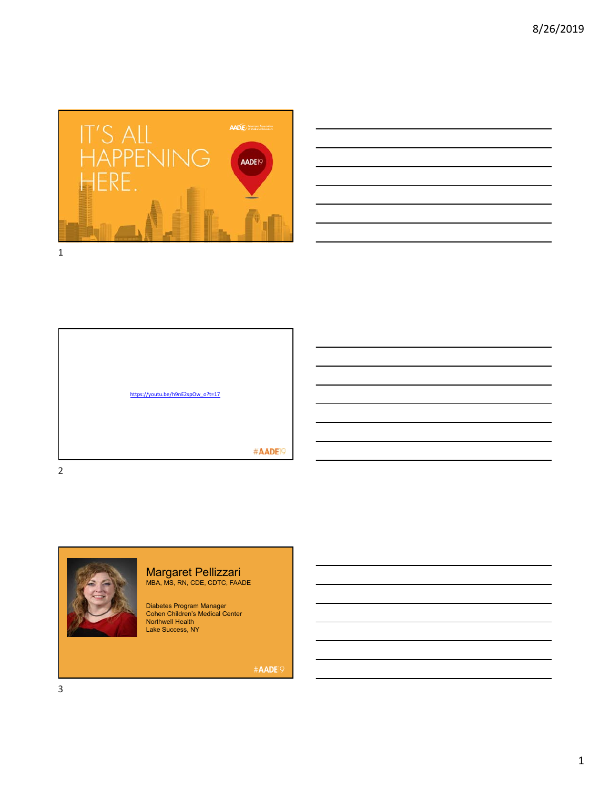







Margaret Pellizzari MBA, MS, RN, CDE, CDTC, FAADE

Diabetes Program Manager Cohen Children's Medical Center Northwell Health Lake Success, NY

#AADE<sup>19</sup>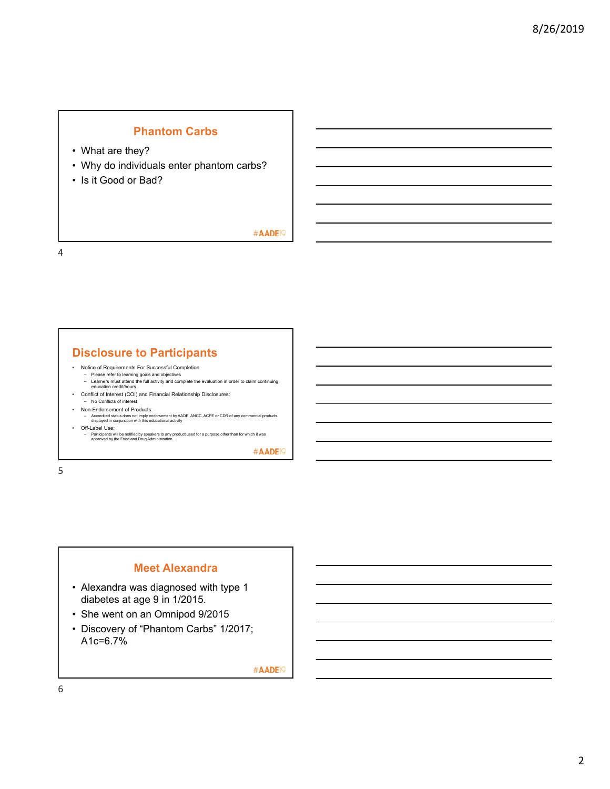## **Phantom Carbs**

- What are they?
- Why do individuals enter phantom carbs?
- Is it Good or Bad?

#AADE<sup>19</sup>

4

## **Disclosure to Participants**

- Notice of Requirements For Successful Completion
	- Please refer to learning goals and objectives Learners must attend the full activity and complete the evaluation in order to claim continuing education credit/hours
- Conflict of Interest (COI) and Financial Relationship Disclosures:
- No Conflicts of interes
- Non-Endorsement of Products: Accredited status does not imply endorsement by AADE, ANCC, ACPE or CDR of any commercial products displayed in conjunction with this educational activity
- Off-Label Use:
- Participants will be notified by speakers to any product used for a purpose other than for which it was approved by the Food and Drug Administration.

#AADE<sup>19</sup>

5

## **Meet Alexandra**

- Alexandra was diagnosed with type 1 diabetes at age 9 in 1/2015.
- She went on an Omnipod 9/2015
- Discovery of "Phantom Carbs" 1/2017; A1c=6.7%

#AADE<sup>19</sup>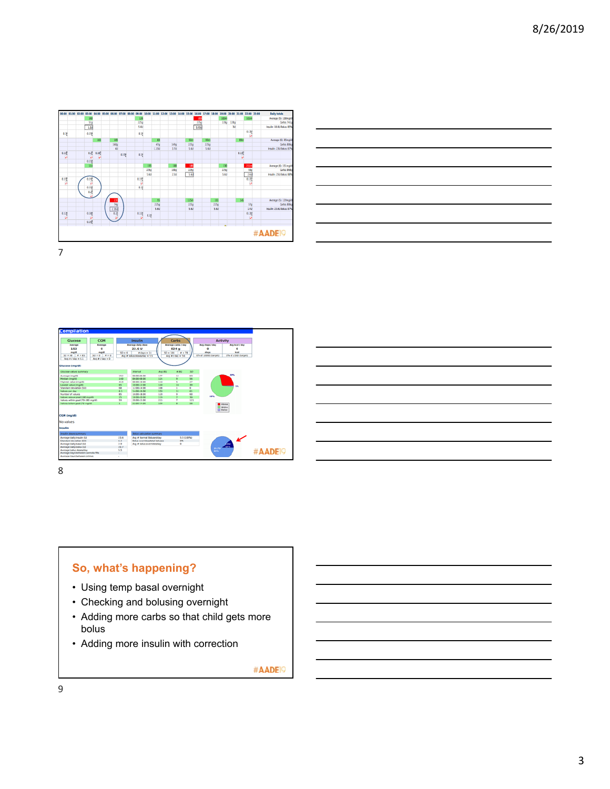



| <b>CGM</b><br>Glucose                                             |              | <b>Insulin</b>                      |            | Carbs               |                 | <b>Activity</b>        |                     |                 |
|-------------------------------------------------------------------|--------------|-------------------------------------|------------|---------------------|-----------------|------------------------|---------------------|-----------------|
| American<br>Average                                               |              | Average daily dose                  |            | Average carbs / day |                 | <b>Avg steps / day</b> | Aug kial / day      |                 |
| 152<br>۰                                                          |              | 23.6 U                              |            | 824 g               |                 | o                      | $\circ$             |                 |
| maldi<br><b>MAGARE</b>                                            | $40 - 4$     | $d$ days = 14                       | $50 = 184$ | $-28$               |                 | steps                  | kewi                |                 |
| $50 + 68$ $-8 + 85$<br>$50 + 6$ $-8 + 6$                          |              | Avg # bolus doses/day = 5.5         |            | Aug # 7 day = 5.6   |                 | 0% of 10000 (target)   | O% of 2500 (target) |                 |
| Aug # / day = 6.1<br>Aug # / day = 0                              |              |                                     |            |                     |                 |                        |                     |                 |
|                                                                   |              |                                     |            |                     |                 |                        |                     |                 |
| <b>Glucosa (mg/dl)</b>                                            |              |                                     |            |                     |                 |                        |                     |                 |
| Glucose values summary                                            |              | <b>Antworked</b>                    | Aug BG     | 4.06                | 50              |                        |                     |                 |
| Average (mg/di)                                                   | 152          | 00:00:06:00                         | 1T         | 32                  | 63              |                        |                     |                 |
| Median (mg/d)                                                     | 340          | 06:00:08:00                         | 124        | v.                  | 36              |                        |                     |                 |
| Highest value (makil)                                             | 45%          | 08:00:10:00                         | 118        | ĸ                   | $\overline{27}$ |                        |                     |                 |
| Lowest value (mg/d)                                               | 48           | 10:00:12:00                         | 140        | 16                  | 30              |                        | 15.                 |                 |
| Standard deviation (SO)                                           | <b>Kill</b>  | 12:00-14:00                         | 108        |                     | $\alpha$        |                        |                     |                 |
| Values pay day                                                    | 6.1          | 14:00-14:00                         | 153        | 11                  | A1              |                        |                     |                 |
| Number of values                                                  | 85           | 16:00-18:00                         | 1.28       | ٠                   | 60              |                        |                     |                 |
| Values above goal (180 mg/d)                                      | $35 -$       | 18:00-20:00                         | 129        | ×                   | 39              | 69%                    |                     |                 |
| Values within goal (70-180 mg/d)                                  | 56           | 38:00-33-00                         | 215        | ٠                   | 121             |                        |                     |                 |
| Values below goal (70 mg/dl)                                      | ¥.           | 22:00-24:00                         | 190        | ٠                   | 58              | <b>Bally</b>           |                     |                 |
| CGM (ma/dl)<br>No values                                          |              |                                     |            |                     |                 | <b>III</b> Below       |                     |                 |
| Incutin                                                           |              |                                     |            |                     |                 |                        |                     |                 |
| <b>Insulin dasas summary</b>                                      |              | finius calculation summary          |            |                     |                 |                        |                     |                 |
| Average daily insulin (U)                                         | 23.6         | Avg # Normal Boluses/day            |            |                     | 5.5 (100%)      |                        |                     |                 |
| Standard deviation (SO)                                           | 6.2          | <b>Baka averrides/total bakages</b> |            | O%                  |                 |                        | ↙                   |                 |
| Average daily based (U)                                           | 2.9          |                                     |            | ۰                   |                 |                        |                     |                 |
| Average daily bolus (LB)                                          | 20.7         | Aug # bolus eventdesiday            |            |                     |                 | <b>COLLANS</b>         |                     |                 |
| Average bolus doses/day                                           | 5.5          |                                     |            |                     |                 |                        |                     |                 |
|                                                                   | $\mathbf{r}$ |                                     |            |                     |                 | <b>Barnet</b>          |                     | <b>#AADE</b> I9 |
|                                                                   |              |                                     |            |                     |                 |                        |                     |                 |
| Average days between cannula fills<br>Average days between primes | ٠            |                                     |            |                     |                 |                        |                     |                 |



- Using temp basal overnight
- Checking and bolusing overnight
- Adding more carbs so that child gets more bolus
- Adding more insulin with correction

#AADE<sup>19</sup>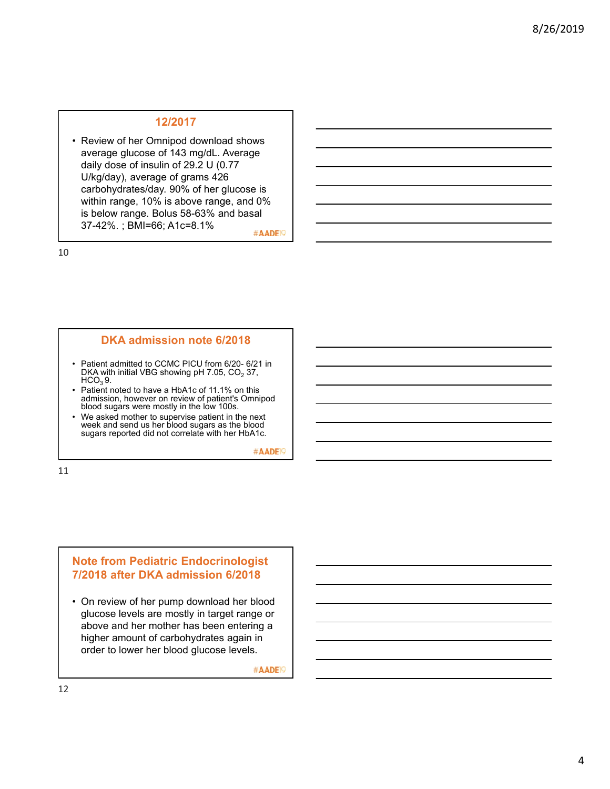#### **12/2017**

• Review of her Omnipod download shows average glucose of 143 mg/dL. Average daily dose of insulin of 29.2 U (0.77 U/kg/day), average of grams 426 carbohydrates/day. 90% of her glucose is within range, 10% is above range, and 0% is below range. Bolus 58-63% and basal 37-42%. ; BMI=66; A1c=8.1%

#AADE<sup>19</sup>

10

#### **DKA admission note 6/2018**

- Patient admitted to CCMC PICU from 6/20- 6/21 in DKA with initial VBG showing pH 7.05,  $CO<sub>2</sub>$  37,  $HCO<sub>3</sub>$  9.
- Patient noted to have a HbA1c of 11.1% on this admission, however on review of patient's Omnipod blood sugars were mostly in the low 100s.
- We asked mother to supervise patient in the next week and send us her blood sugars as the blood sugars reported did not correlate with her HbA1c.

#AADE<sup>19</sup>

11

### **Note from Pediatric Endocrinologist 7/2018 after DKA admission 6/2018**

• On review of her pump download her blood glucose levels are mostly in target range or above and her mother has been entering a higher amount of carbohydrates again in order to lower her blood glucose levels.

#AADE<sup>19</sup>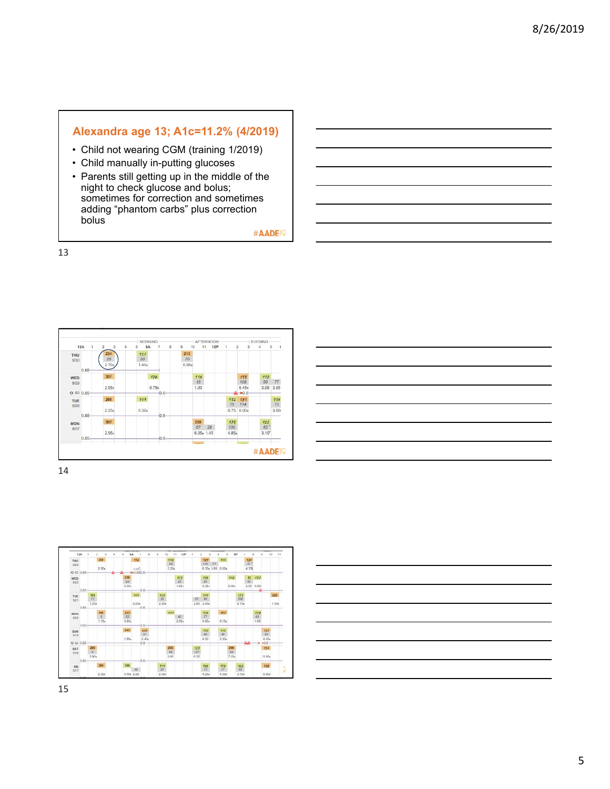# **Alexandra age 13; A1c=11.2% (4/2019)**

- Child not wearing CGM (training 1/2019)
- Child manually in-putting glucoses
- Parents still getting up in the middle of the night to check glucose and bolus; sometimes for correction and sometimes adding "phantom carbs" plus correction **bolus**

#AADE<sup>19</sup>

13



| <u> Andreas Andreas Andreas Andreas Andreas Andreas Andreas Andreas Andreas Andreas Andreas Andreas Andreas Andr</u>                                                 |  |  |
|----------------------------------------------------------------------------------------------------------------------------------------------------------------------|--|--|
|                                                                                                                                                                      |  |  |
|                                                                                                                                                                      |  |  |
| $\overline{\phantom{a}}$                                                                                                                                             |  |  |
| ,我们也不会有一个人的事情。""我们的人们,我们也不会有一个人的人,我们也不会有一个人的人,我们也不会有一个人的人,我们也不会有一个人的人,我们也不会有一个人的<br>第一百一十一章 我们的人,我们的人们的人们,我们的人们的人们的人们,我们的人们的人们的人们,我们的人们的人们,我们的人们的人们,我们的人们的人们,我们的人们的人 |  |  |
|                                                                                                                                                                      |  |  |



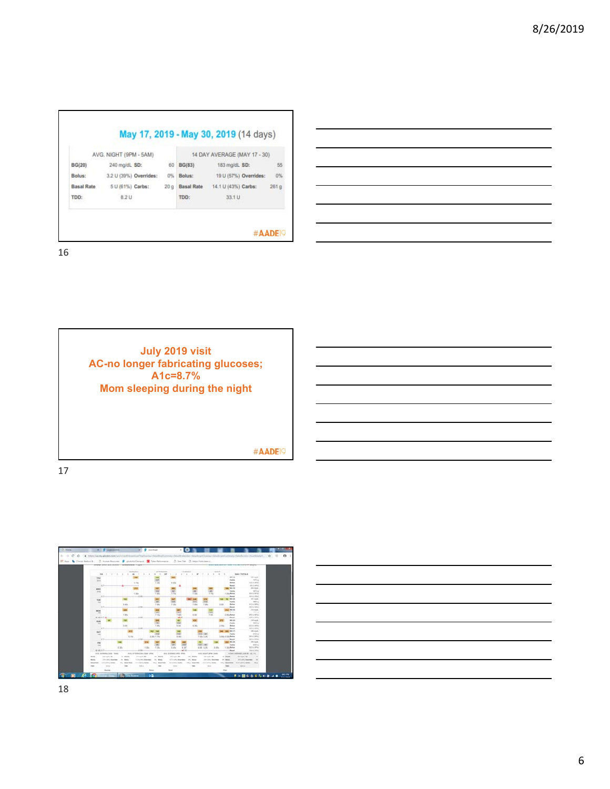| AVG. NIGHT (9PM - 5AM) |                        |                 | 14 DAY AVERAGE (MAY 17 - 30) |                       |      |  |
|------------------------|------------------------|-----------------|------------------------------|-----------------------|------|--|
| <b>BG(20)</b>          | 240 moldL SD:          | 60              | <b>BG(83)</b>                | 183 mg/dL SD:         | 55   |  |
| Bolus:                 | 3.2 U (39%) Overrides: | 0%              | Bolus:                       | 19 U (57%) Overrides: | 0%   |  |
| <b>Basal Rate</b>      | 5 U (61%) Carbs:       | 20 <sub>9</sub> | <b>Basal Rate</b>            | 14.1 U (43%) Carbs:   | 261q |  |
| TDD:                   | 8.2 U                  |                 | TDD:                         | 33.1 U                |      |  |

٦

16



17